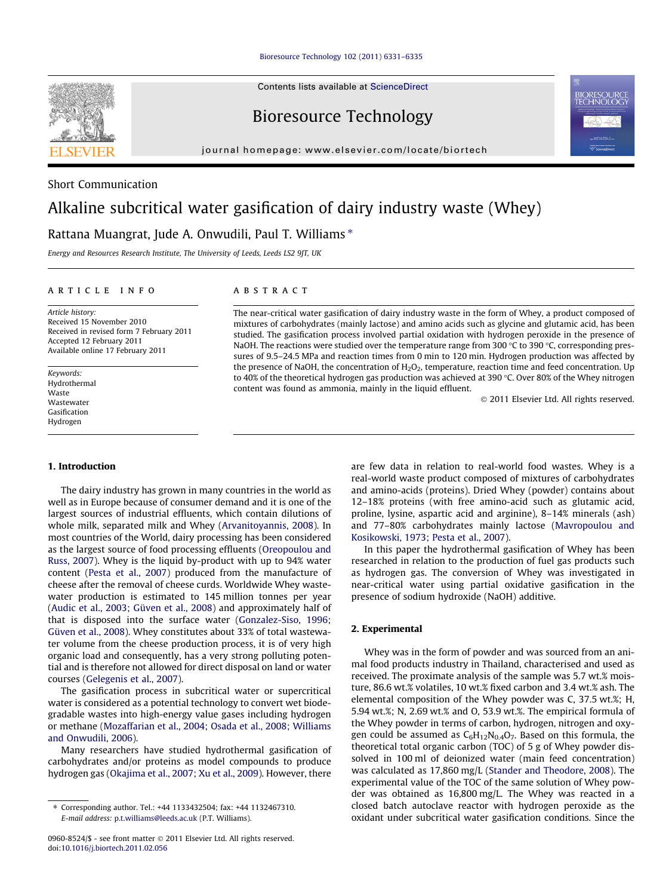[Bioresource Technology 102 \(2011\) 6331–6335](http://dx.doi.org/10.1016/j.biortech.2011.02.056)

Contents lists available at [ScienceDirect](http://www.sciencedirect.com/science/journal/09608524)

Bioresource Technology

journal homepage: [www.elsevier.com/locate/biortech](http://www.elsevier.com/locate/biortech)

# Short Communication

# Alkaline subcritical water gasification of dairy industry waste (Whey)

# Rattana Muangrat, Jude A. Onwudili, Paul T. Williams  $*$

Energy and Resources Research Institute, The University of Leeds, Leeds LS2 9JT, UK

## article info

Article history: Received 15 November 2010 Received in revised form 7 February 2011 Accepted 12 February 2011 Available online 17 February 2011

Keywords: Hydrothermal Waste Wastewater Gasification Hydrogen

#### 1. Introduction

The dairy industry has grown in many countries in the world as well as in Europe because of consumer demand and it is one of the largest sources of industrial effluents, which contain dilutions of whole milk, separated milk and Whey ([Arvanitoyannis, 2008\)](#page-4-0). In most countries of the World, dairy processing has been considered as the largest source of food processing effluents ([Oreopoulou and](#page-4-0) [Russ, 2007](#page-4-0)). Whey is the liquid by-product with up to 94% water content ([Pesta et al., 2007\)](#page-4-0) produced from the manufacture of cheese after the removal of cheese curds. Worldwide Whey wastewater production is estimated to 145 million tonnes per year ([Audic et al., 2003; Güven et al., 2008](#page-4-0)) and approximately half of that is disposed into the surface water ([Gonzalez-Siso, 1996;](#page-4-0) [Güven et al., 2008\)](#page-4-0). Whey constitutes about 33% of total wastewater volume from the cheese production process, it is of very high organic load and consequently, has a very strong polluting potential and is therefore not allowed for direct disposal on land or water courses ([Gelegenis et al., 2007\)](#page-4-0).

The gasification process in subcritical water or supercritical water is considered as a potential technology to convert wet biodegradable wastes into high-energy value gases including hydrogen or methane ([Mozaffarian et al., 2004; Osada et al., 2008; Williams](#page-4-0) [and Onwudili, 2006\)](#page-4-0).

Many researchers have studied hydrothermal gasification of carbohydrates and/or proteins as model compounds to produce hydrogen gas ([Okajima et al., 2007; Xu et al., 2009](#page-4-0)). However, there

## **ABSTRACT**

The near-critical water gasification of dairy industry waste in the form of Whey, a product composed of mixtures of carbohydrates (mainly lactose) and amino acids such as glycine and glutamic acid, has been studied. The gasification process involved partial oxidation with hydrogen peroxide in the presence of NaOH. The reactions were studied over the temperature range from 300 °C to 390 °C, corresponding pressures of 9.5–24.5 MPa and reaction times from 0 min to 120 min. Hydrogen production was affected by the presence of NaOH, the concentration of  $H_2O_2$ , temperature, reaction time and feed concentration. Up to 40% of the theoretical hydrogen gas production was achieved at 390 °C. Over 80% of the Whey nitrogen content was found as ammonia, mainly in the liquid effluent.

2011 Elsevier Ltd. All rights reserved.

are few data in relation to real-world food wastes. Whey is a real-world waste product composed of mixtures of carbohydrates and amino-acids (proteins). Dried Whey (powder) contains about 12–18% proteins (with free amino-acid such as glutamic acid, proline, lysine, aspartic acid and arginine), 8–14% minerals (ash) and 77–80% carbohydrates mainly lactose [\(Mavropoulou and](#page-4-0) [Kosikowski, 1973; Pesta et al., 2007\)](#page-4-0).

In this paper the hydrothermal gasification of Whey has been researched in relation to the production of fuel gas products such as hydrogen gas. The conversion of Whey was investigated in near-critical water using partial oxidative gasification in the presence of sodium hydroxide (NaOH) additive.

# 2. Experimental

Whey was in the form of powder and was sourced from an animal food products industry in Thailand, characterised and used as received. The proximate analysis of the sample was 5.7 wt.% moisture, 86.6 wt.% volatiles, 10 wt.% fixed carbon and 3.4 wt.% ash. The elemental composition of the Whey powder was C, 37.5 wt.%; H, 5.94 wt.%; N, 2.69 wt.% and O, 53.9 wt.%. The empirical formula of the Whey powder in terms of carbon, hydrogen, nitrogen and oxygen could be assumed as  $C_6H_{12}N_{0.4}O_7$ . Based on this formula, the theoretical total organic carbon (TOC) of 5 g of Whey powder dissolved in 100 ml of deionized water (main feed concentration) was calculated as 17,860 mg/L ([Stander and Theodore, 2008](#page-4-0)). The experimental value of the TOC of the same solution of Whey powder was obtained as 16,800 mg/L. The Whey was reacted in a closed batch autoclave reactor with hydrogen peroxide as the oxidant under subcritical water gasification conditions. Since the



<sup>⇑</sup> Corresponding author. Tel.: +44 1133432504; fax: +44 1132467310. E-mail address: [p.t.williams@leeds.ac.uk](mailto:p.t.williams@leeds.ac.uk) (P.T. Williams).

<sup>0960-8524/\$ -</sup> see front matter © 2011 Elsevier Ltd. All rights reserved. doi[:10.1016/j.biortech.2011.02.056](http://dx.doi.org/10.1016/j.biortech.2011.02.056)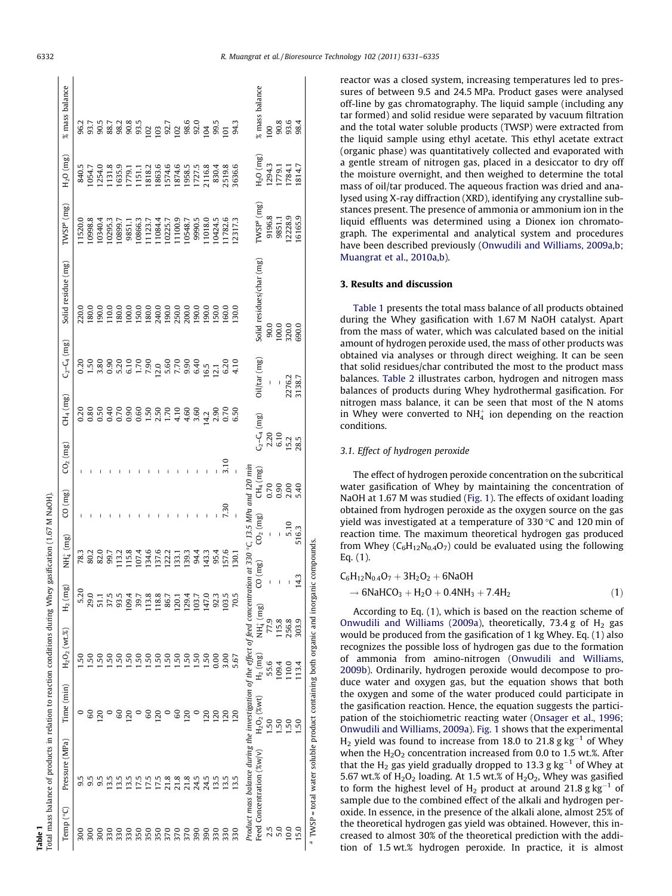reactor was a closed system, increasing temperatures led to pressures of between 9.5 and 24.5 MPa. Product gases were analysed off-line by gas chromatography. The liquid sample (including any tar formed) and solid residue were separated by vacuum filtration and the total water soluble products (TWSP) were extracted from the liquid sample using ethyl acetate. This ethyl acetate extract (organic phase) was quantitatively collected and evaporated with a gentle stream of nitrogen gas, placed in a desiccator to dry off the moisture overnight, and then weighed to determine the total mass of oil/tar produced. The aqueous fraction was dried and analysed using X-ray diffraction (XRD), identifying any crystalline substances present. The presence of ammonia or ammonium ion in the liquid effluents was determined using a Dionex ion chromatograph. The experimental and analytical system and procedures have been described previously [\(Onwudili and Williams, 2009a,b;](#page-4-0) [Muangrat et al., 2010a,b](#page-4-0)).

#### 3. Results and discussion

Table 1 presents the total mass balance of all products obtained during the Whey gasification with 1.67 M NaOH catalyst. Apart from the mass of water, which was calculated based on the initial amount of hydrogen peroxide used, the mass of other products was obtained via analyses or through direct weighing. It can be seen that solid residues/char contributed the most to the product mass balances. [Table 2](#page-2-0) illustrates carbon, hydrogen and nitrogen mass balances of products during Whey hydrothermal gasification. For nitrogen mass balance, it can be seen that most of the N atoms in Whey were converted to  $NH_4^+$  ion depending on the reaction conditions.

#### 3.1. Effect of hydrogen peroxide

The effect of hydrogen peroxide concentration on the subcritical water gasification of Whey by maintaining the concentration of NaOH at 1.67 M was studied [\(Fig. 1](#page-3-0)). The effects of oxidant loading obtained from hydrogen peroxide as the oxygen source on the gas yield was investigated at a temperature of 330  $\degree$ C and 120 min of reaction time. The maximum theoretical hydrogen gas produced from Whey ( $C_6H_{12}N_{0.4}O_7$ ) could be evaluated using the following Eq. (1).

$$
C_6H_{12}N_{0.4}O_7 + 3H_2O_2 + 6NaOH
$$
  
\n
$$
\rightarrow 6NaHCO_3 + H_2O + 0.4NH_3 + 7.4H_2
$$
\n(1)

According to Eq. (1), which is based on the reaction scheme of [Onwudili and Williams \(2009a\)](#page-4-0), theoretically, 73.4 g of  $H_2$  gas would be produced from the gasification of 1 kg Whey. Eq. (1) also recognizes the possible loss of hydrogen gas due to the formation of ammonia from amino-nitrogen ([Onwudili and Williams,](#page-4-0) [2009b](#page-4-0)). Ordinarily, hydrogen peroxide would decompose to produce water and oxygen gas, but the equation shows that both the oxygen and some of the water produced could participate in the gasification reaction. Hence, the equation suggests the participation of the stoichiometric reacting water [\(Onsager et al., 1996;](#page-4-0) [Onwudili and Williams, 2009a\)](#page-4-0). [Fig. 1](#page-3-0) shows that the experimental  $H_2$  yield was found to increase from 18.0 to 21.8 g  $kg^{-1}$  of Whey when the  $H_2O_2$  concentration increased from 0.0 to 1.5 wt.%. After that the  $H_2$  gas yield gradually dropped to 13.3 g  $kg^{-1}$  of Whey at 5.67 wt.% of  $H_2O_2$  loading. At 1.5 wt.% of  $H_2O_2$ , Whey was gasified to form the highest level of  $H_2$  product at around 21.8 g kg<sup>-1</sup> of sample due to the combined effect of the alkali and hydrogen peroxide. In essence, in the presence of the alkali alone, almost 25% of the theoretical hydrogen gas yield was obtained. However, this increased to almost 30% of the theoretical prediction with the addition of 1.5 wt.% hydrogen peroxide. In practice, it is almost

Table 1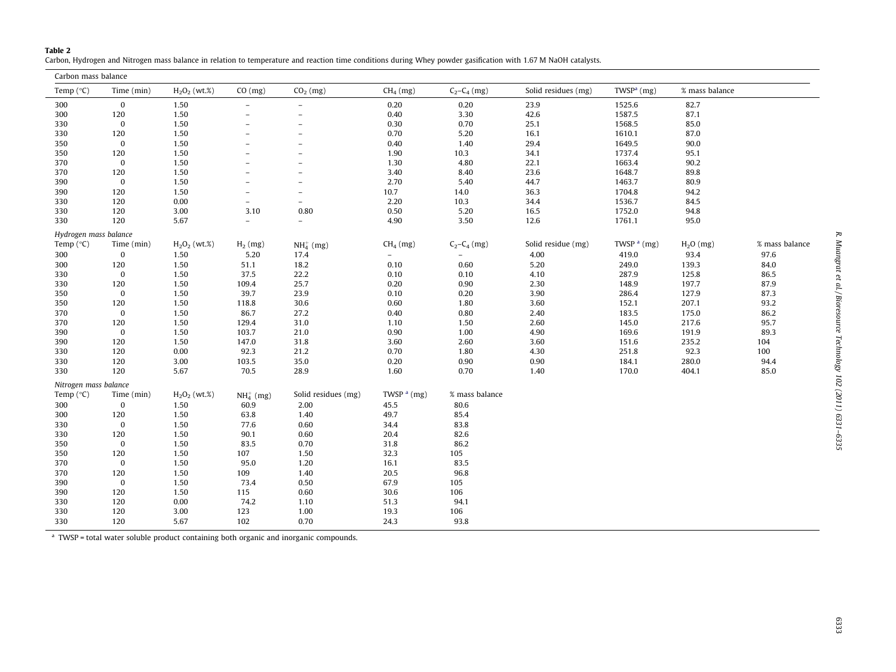#### <span id="page-2-0"></span>Table 2

Carbon, Hydrogen and Nitrogen mass balance in relation to temperature and reaction time conditions during Whey powder gasification with 1.67 M NaOH catalysts.

| Carbon mass balance   |             |                 |                          |                          |               |                          |                     |               |                |                |
|-----------------------|-------------|-----------------|--------------------------|--------------------------|---------------|--------------------------|---------------------|---------------|----------------|----------------|
| Temp $(^{\circ}C)$    | Time (min)  | $H_2O_2$ (wt.%) | CO (mg)                  | $CO2$ (mg)               | $CH4$ (mg)    | $C_2 - C_4$ (mg)         | Solid residues (mg) | TWS $Pa$ (mg) | % mass balance |                |
| 300                   | $\bf{0}$    | 1.50            | $\overline{\phantom{a}}$ | $\overline{\phantom{a}}$ | 0.20          | 0.20                     | 23.9                | 1525.6        | 82.7           |                |
| 300                   | 120         | 1.50            | $\qquad \qquad -$        | $\qquad \qquad$          | 0.40          | 3.30                     | 42.6                | 1587.5        | 87.1           |                |
| 330                   | $\bf{0}$    | 1.50            | $\overline{a}$           | $\overline{\phantom{a}}$ | 0.30          | 0.70                     | 25.1                | 1568.5        | 85.0           |                |
| 330                   | 120         | 1.50            | $\overline{\phantom{0}}$ | $\overline{\phantom{a}}$ | 0.70          | 5.20                     | 16.1                | 1610.1        | 87.0           |                |
| 350                   | $\bf{0}$    | 1.50            | $\overline{a}$           | $\overline{\phantom{a}}$ | 0.40          | 1.40                     | 29.4                | 1649.5        | 90.0           |                |
| 350                   | 120         | 1.50            | $\overline{\phantom{a}}$ | $\equiv$                 | 1.90          | 10.3                     | 34.1                | 1737.4        | 95.1           |                |
| 370                   | $\bf{0}$    | 1.50            | $\overline{\phantom{0}}$ | $\overline{a}$           | 1.30          | 4.80                     | 22.1                | 1663.4        | 90.2           |                |
| 370                   | 120         | 1.50            | $\overline{\phantom{a}}$ | $\overline{\phantom{a}}$ | 3.40          | 8.40                     | 23.6                | 1648.7        | 89.8           |                |
| 390                   | $\bf{0}$    | 1.50            | $\overline{\phantom{0}}$ | $\overline{\phantom{a}}$ | 2.70          | 5.40                     | 44.7                | 1463.7        | 80.9           |                |
| 390                   | 120         | 1.50            | $\overline{a}$           | $\equiv$                 | 10.7          | 14.0                     | 36.3                | 1704.8        | 94.2           |                |
| 330                   | 120         | 0.00            | $\overline{\phantom{a}}$ | $\overline{\phantom{a}}$ | 2.20          | 10.3                     | 34.4                | 1536.7        | 84.5           |                |
| 330                   | 120         | 3.00            | 3.10                     | 0.80                     | 0.50          | 5.20                     | 16.5                | 1752.0        | 94.8           |                |
| 330                   | 120         | 5.67            | $\overline{\phantom{a}}$ | $\overline{\phantom{a}}$ | 4.90          | 3.50                     | 12.6                | 1761.1        | 95.0           |                |
| Hydrogen mass balance |             |                 |                          |                          |               |                          |                     |               |                |                |
| Temp $(^{\circ}C)$    | Time (min)  | $H_2O_2$ (wt.%) | $H_2$ (mg)               | $NH4+ (mg)$              | $CH4$ (mg)    | $C_2 - C_4$ (mg)         | Solid residue (mg)  | TWSP $a$ (mg) | $H2O$ (mg)     | % mass balance |
| 300                   | $\bf{0}$    | 1.50            | 5.20                     | 17.4                     | $\equiv$      | $\overline{\phantom{a}}$ | 4.00                | 419.0         | 93.4           | 97.6           |
| 300                   | 120         | 1.50            | 51.1                     | 18.2                     | 0.10          | 0.60                     | 5.20                | 249.0         | 139.3          | 84.0           |
| 330                   | $\mathbf 0$ | 1.50            | 37.5                     | 22.2                     | 0.10          | 0.10                     | 4.10                | 287.9         | 125.8          | 86.5           |
| 330                   | 120         | 1.50            | 109.4                    | 25.7                     | 0.20          | 0.90                     | 2.30                | 148.9         | 197.7          | 87.9           |
| 350                   | $\bf{0}$    | 1.50            | 39.7                     | 23.9                     | 0.10          | 0.20                     | 3.90                | 286.4         | 127.9          | 87.3           |
| 350                   | 120         | 1.50            | 118.8                    | 30.6                     | 0.60          | 1.80                     | 3.60                | 152.1         | 207.1          | 93.2           |
| 370                   | $\bf{0}$    | 1.50            | 86.7                     | 27.2                     | 0.40          | 0.80                     | 2.40                | 183.5         | 175.0          | 86.2           |
| 370                   | 120         | 1.50            | 129.4                    | 31.0                     | 1.10          | 1.50                     | 2.60                | 145.0         | 217.6          | 95.7           |
| 390                   | $\bf{0}$    | 1.50            | 103.7                    | 21.0                     | 0.90          | 1.00                     | 4.90                | 169.6         | 191.9          | 89.3           |
| 390                   | 120         | 1.50            | 147.0                    | 31.8                     | 3.60          | 2.60                     | 3.60                | 151.6         | 235.2          | 104            |
| 330                   | 120         | 0.00            | 92.3                     | 21.2                     | 0.70          | 1.80                     | 4.30                | 251.8         | 92.3           | 100            |
| 330                   | 120         | 3.00            | 103.5                    | 35.0                     | 0.20          | 0.90                     | 0.90                | 184.1         | 280.0          | 94.4           |
| 330                   | 120         | 5.67            | 70.5                     | 28.9                     | 1.60          | 0.70                     | 1.40                | 170.0         | 404.1          | 85.0           |
| Nitrogen mass balance |             |                 |                          |                          |               |                          |                     |               |                |                |
| Temp $(^{\circ}C)$    | Time (min)  | $H_2O_2$ (wt.%) | $NH4+ (mg)$              | Solid residues (mg)      | TWSP $a$ (mg) | % mass balance           |                     |               |                |                |
| 300                   | 0           | 1.50            | 60.9                     | 2.00                     | 45.5          | 80.6                     |                     |               |                |                |
| 300                   | 120         | 1.50            | 63.8                     | 1.40                     | 49.7          | 85.4                     |                     |               |                |                |
| 330                   | $\bf{0}$    | 1.50            | 77.6                     | 0.60                     | 34.4          | 83.8                     |                     |               |                |                |
| 330                   | 120         | 1.50            | 90.1                     | 0.60                     | 20.4          | 82.6                     |                     |               |                |                |
| 350                   | $\bf{0}$    | 1.50            | 83.5                     | 0.70                     | 31.8          | 86.2                     |                     |               |                |                |
| 350                   | 120         | 1.50            | 107                      | 1.50                     | 32.3          | 105                      |                     |               |                |                |
| 370                   | $\bf{0}$    | 1.50            | 95.0                     | 1.20                     | 16.1          | 83.5                     |                     |               |                |                |
| 370                   | 120         | 1.50            | 109                      | 1.40                     | 20.5          | 96.8                     |                     |               |                |                |
| 390                   | $\bf{0}$    | 1.50            | 73.4                     | 0.50                     | 67.9          | 105                      |                     |               |                |                |
| 390                   | 120         | 1.50            | 115                      | 0.60                     | 30.6          | 106                      |                     |               |                |                |
| 330                   | 120         | 0.00            | 74.2                     | 1.10                     | 51.3          | 94.1                     |                     |               |                |                |
| 330                   | 120         | 3.00            | 123                      | 1.00                     | 19.3          | 106                      |                     |               |                |                |
| 330                   | 120         | 5.67            | 102                      | 0.70                     | 24.3          | 93.8                     |                     |               |                |                |

<sup>a</sup> TWSP = total water soluble product containing both organic and inorganic compounds.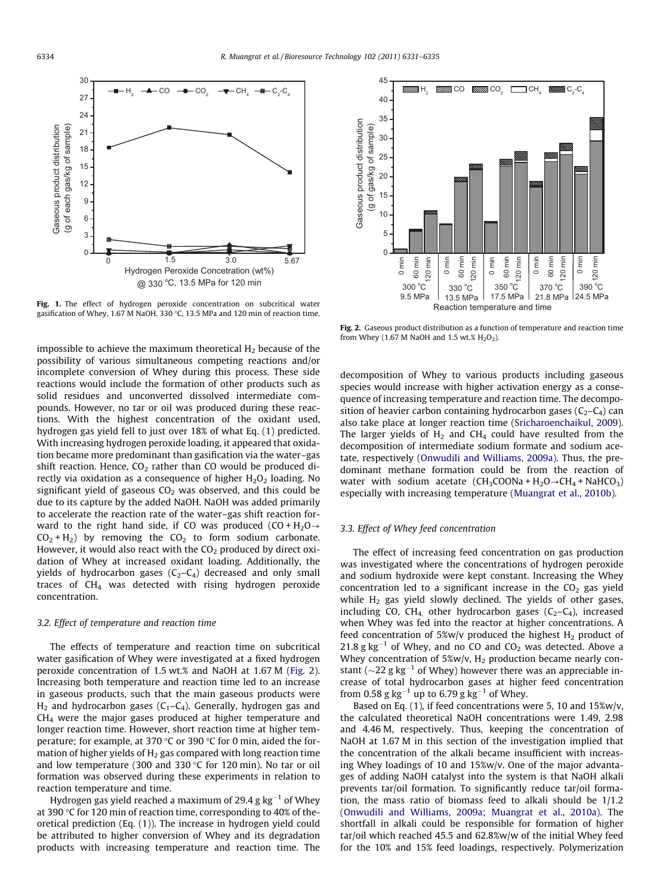<span id="page-3-0"></span>

Fig. 1. The effect of hydrogen peroxide concentration on subcritical water gasification of Whey, 1.67 M NaOH, 330 °C, 13.5 MPa and 120 min of reaction time.

impossible to achieve the maximum theoretical  $H_2$  because of the possibility of various simultaneous competing reactions and/or incomplete conversion of Whey during this process. These side reactions would include the formation of other products such as solid residues and unconverted dissolved intermediate compounds. However, no tar or oil was produced during these reactions. With the highest concentration of the oxidant used, hydrogen gas yield fell to just over 18% of what Eq. (1) predicted. With increasing hydrogen peroxide loading, it appeared that oxidation became more predominant than gasification via the water–gas shift reaction. Hence,  $CO<sub>2</sub>$  rather than CO would be produced directly via oxidation as a consequence of higher  $H_2O_2$  loading. No significant yield of gaseous  $CO<sub>2</sub>$  was observed, and this could be due to its capture by the added NaOH. NaOH was added primarily to accelerate the reaction rate of the water–gas shift reaction forward to the right hand side, if CO was produced  $(CO + H_2O \rightarrow$  $CO<sub>2</sub> + H<sub>2</sub>$ ) by removing the  $CO<sub>2</sub>$  to form sodium carbonate. However, it would also react with the  $CO<sub>2</sub>$  produced by direct oxidation of Whey at increased oxidant loading. Additionally, the yields of hydrocarbon gases  $(C_2-C_4)$  decreased and only small traces of  $CH<sub>4</sub>$  was detected with rising hydrogen peroxide concentration.

#### 3.2. Effect of temperature and reaction time

The effects of temperature and reaction time on subcritical water gasification of Whey were investigated at a fixed hydrogen peroxide concentration of 1.5 wt.% and NaOH at 1.67 M (Fig. 2). Increasing both temperature and reaction time led to an increase in gaseous products, such that the main gaseous products were  $H_2$  and hydrocarbon gases (C<sub>1</sub>–C<sub>4</sub>). Generally, hydrogen gas and CH4 were the major gases produced at higher temperature and longer reaction time. However, short reaction time at higher temperature; for example, at 370 °C or 390 °C for 0 min, aided the formation of higher yields of  $H_2$  gas compared with long reaction time and low temperature (300 and 330 °C for 120 min). No tar or oil formation was observed during these experiments in relation to reaction temperature and time.

Hydrogen gas yield reached a maximum of 29.4 g  $\text{kg}^{-1}$  of Whey at 390 °C for 120 min of reaction time, corresponding to 40% of theoretical prediction (Eq. (1)). The increase in hydrogen yield could be attributed to higher conversion of Whey and its degradation products with increasing temperature and reaction time. The



Fig. 2. Gaseous product distribution as a function of temperature and reaction time from Whey (1.67 M NaOH and 1.5 wt.%  $H_2O_2$ ).

decomposition of Whey to various products including gaseous species would increase with higher activation energy as a consequence of increasing temperature and reaction time. The decomposition of heavier carbon containing hydrocarbon gases  $(C_2-C_4)$  can also take place at longer reaction time [\(Sricharoenchaikul, 2009\)](#page-4-0). The larger yields of  $H_2$  and CH<sub>4</sub> could have resulted from the decomposition of intermediate sodium formate and sodium acetate, respectively ([Onwudili and Williams, 2009a](#page-4-0)). Thus, the predominant methane formation could be from the reaction of water with sodium acetate  $(CH_3COONa + H_2O \rightarrow CH_4 + NaHCO_3)$ especially with increasing temperature ([Muangrat et al., 2010b\)](#page-4-0).

#### 3.3. Effect of Whey feed concentration

The effect of increasing feed concentration on gas production was investigated where the concentrations of hydrogen peroxide and sodium hydroxide were kept constant. Increasing the Whey concentration led to a significant increase in the  $CO<sub>2</sub>$  gas yield while  $H_2$  gas yield slowly declined. The yields of other gases, including CO, CH<sub>4</sub> other hydrocarbon gases  $(C_2-C_4)$ , increased when Whey was fed into the reactor at higher concentrations. A feed concentration of 5%w/v produced the highest  $H_2$  product of  $21.8$  g kg<sup>-1</sup> of Whey, and no CO and CO<sub>2</sub> was detected. Above a Whey concentration of  $5\%w/v$ ,  $H_2$  production became nearly constant ( $\sim$ 22 g kg<sup>-1</sup> of Whey) however there was an appreciable increase of total hydrocarbon gases at higher feed concentration from 0.58 g  $kg^{-1}$  up to 6.79 g  $kg^{-1}$  of Whey.

Based on Eq. (1), if feed concentrations were 5, 10 and 15%w/v, the calculated theoretical NaOH concentrations were 1.49, 2.98 and 4.46 M, respectively. Thus, keeping the concentration of NaOH at 1.67 M in this section of the investigation implied that the concentration of the alkali became insufficient with increasing Whey loadings of 10 and 15%w/v. One of the major advantages of adding NaOH catalyst into the system is that NaOH alkali prevents tar/oil formation. To significantly reduce tar/oil formation, the mass ratio of biomass feed to alkali should be 1/1.2 ([Onwudili and Williams, 2009a; Muangrat et al., 2010a\)](#page-4-0). The shortfall in alkali could be responsible for formation of higher tar/oil which reached 45.5 and 62.8%w/w of the initial Whey feed for the 10% and 15% feed loadings, respectively. Polymerization